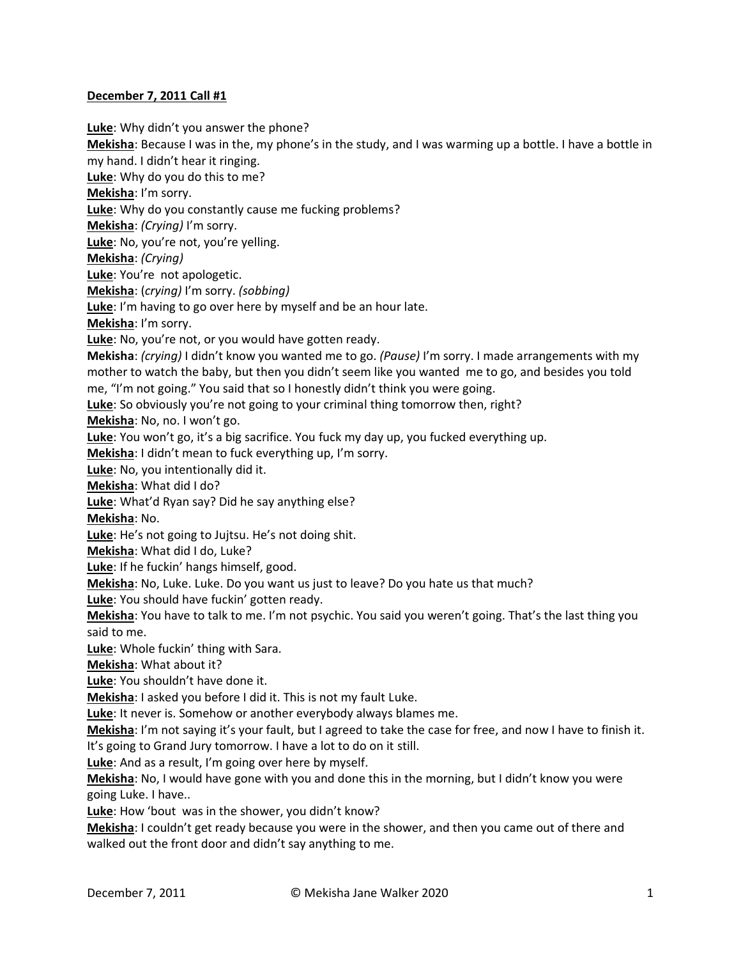## **December 7, 2011 Call #1**

**Luke**: Why didn't you answer the phone? **Mekisha**: Because I was in the, my phone's in the study, and I was warming up a bottle. I have a bottle in my hand. I didn't hear it ringing. **Luke**: Why do you do this to me? **Mekisha**: I'm sorry. **Luke**: Why do you constantly cause me fucking problems? **Mekisha**: *(Crying)* I'm sorry. **Luke**: No, you're not, you're yelling. **Mekisha**: *(Crying)* **Luke**: You're not apologetic. **Mekisha**: (*crying)* I'm sorry. *(sobbing)* **Luke**: I'm having to go over here by myself and be an hour late. **Mekisha**: I'm sorry. **Luke**: No, you're not, or you would have gotten ready. **Mekisha**: *(crying)* I didn't know you wanted me to go. *(Pause)* I'm sorry. I made arrangements with my mother to watch the baby, but then you didn't seem like you wanted me to go, and besides you told me, "I'm not going." You said that so I honestly didn't think you were going. **Luke**: So obviously you're not going to your criminal thing tomorrow then, right? **Mekisha**: No, no. I won't go. **Luke**: You won't go, it's a big sacrifice. You fuck my day up, you fucked everything up. **Mekisha**: I didn't mean to fuck everything up, I'm sorry. **Luke**: No, you intentionally did it. **Mekisha**: What did I do? **Luke**: What'd Ryan say? Did he say anything else? **Mekisha**: No. **Luke**: He's not going to Jujtsu. He's not doing shit. **Mekisha**: What did I do, Luke? **Luke**: If he fuckin' hangs himself, good. **Mekisha**: No, Luke. Luke. Do you want us just to leave? Do you hate us that much? **Luke**: You should have fuckin' gotten ready. **Mekisha**: You have to talk to me. I'm not psychic. You said you weren't going. That's the last thing you said to me. **Luke**: Whole fuckin' thing with Sara. **Mekisha**: What about it? **Luke**: You shouldn't have done it. **Mekisha**: I asked you before I did it. This is not my fault Luke. **Luke**: It never is. Somehow or another everybody always blames me. **Mekisha**: I'm not saying it's your fault, but I agreed to take the case for free, and now I have to finish it. It's going to Grand Jury tomorrow. I have a lot to do on it still. **Luke**: And as a result, I'm going over here by myself. **Mekisha**: No, I would have gone with you and done this in the morning, but I didn't know you were going Luke. I have.. **Luke**: How 'bout was in the shower, you didn't know? **Mekisha**: I couldn't get ready because you were in the shower, and then you came out of there and walked out the front door and didn't say anything to me.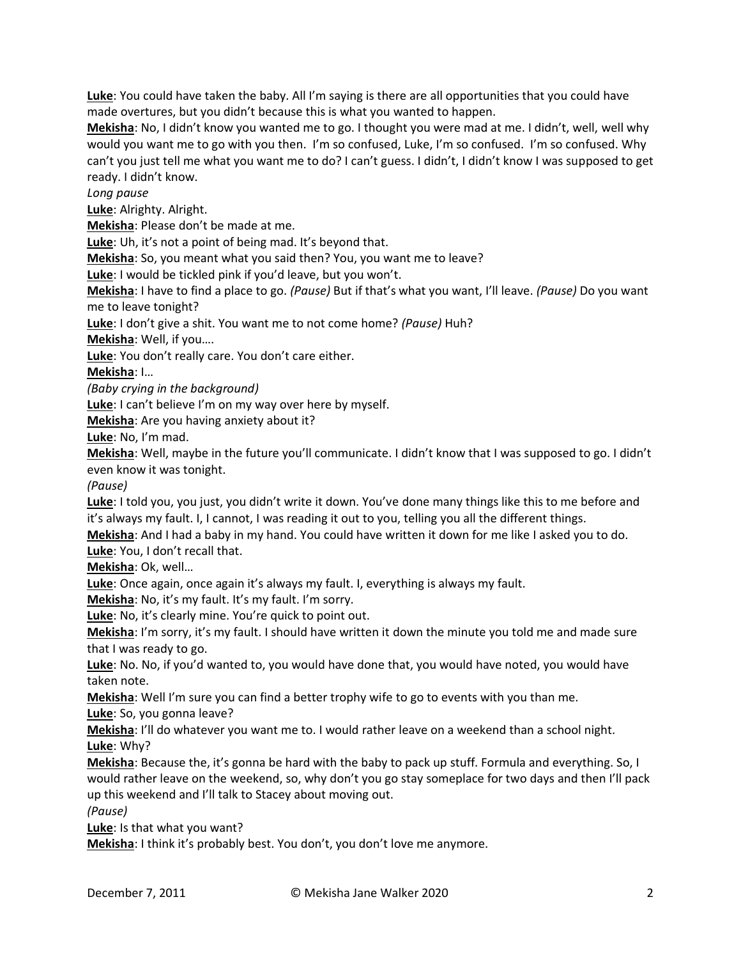**Luke**: You could have taken the baby. All I'm saying is there are all opportunities that you could have made overtures, but you didn't because this is what you wanted to happen.

**Mekisha**: No, I didn't know you wanted me to go. I thought you were mad at me. I didn't, well, well why would you want me to go with you then. I'm so confused, Luke, I'm so confused. I'm so confused. Why can't you just tell me what you want me to do? I can't guess. I didn't, I didn't know I was supposed to get ready. I didn't know.

*Long pause*

**Luke**: Alrighty. Alright.

**Mekisha**: Please don't be made at me.

**Luke**: Uh, it's not a point of being mad. It's beyond that.

**Mekisha**: So, you meant what you said then? You, you want me to leave?

**Luke**: I would be tickled pink if you'd leave, but you won't.

**Mekisha**: I have to find a place to go. *(Pause)* But if that's what you want, I'll leave. *(Pause)* Do you want me to leave tonight?

**Luke**: I don't give a shit. You want me to not come home? *(Pause)* Huh?

**Mekisha**: Well, if you….

**Luke**: You don't really care. You don't care either.

**Mekisha**: I…

*(Baby crying in the background)*

**Luke**: I can't believe I'm on my way over here by myself.

**Mekisha**: Are you having anxiety about it?

**Luke**: No, I'm mad.

**Mekisha**: Well, maybe in the future you'll communicate. I didn't know that I was supposed to go. I didn't even know it was tonight.

*(Pause)*

**Luke**: I told you, you just, you didn't write it down. You've done many things like this to me before and it's always my fault. I, I cannot, I was reading it out to you, telling you all the different things.

**Mekisha**: And I had a baby in my hand. You could have written it down for me like I asked you to do. **Luke**: You, I don't recall that.

**Mekisha**: Ok, well…

**Luke**: Once again, once again it's always my fault. I, everything is always my fault.

**Mekisha**: No, it's my fault. It's my fault. I'm sorry.

**Luke**: No, it's clearly mine. You're quick to point out.

**Mekisha**: I'm sorry, it's my fault. I should have written it down the minute you told me and made sure that I was ready to go.

**Luke**: No. No, if you'd wanted to, you would have done that, you would have noted, you would have taken note.

**Mekisha**: Well I'm sure you can find a better trophy wife to go to events with you than me.

**Luke**: So, you gonna leave?

**Mekisha**: I'll do whatever you want me to. I would rather leave on a weekend than a school night. **Luke**: Why?

**Mekisha**: Because the, it's gonna be hard with the baby to pack up stuff. Formula and everything. So, I would rather leave on the weekend, so, why don't you go stay someplace for two days and then I'll pack up this weekend and I'll talk to Stacey about moving out.

*(Pause)*

**Luke**: Is that what you want?

**Mekisha**: I think it's probably best. You don't, you don't love me anymore.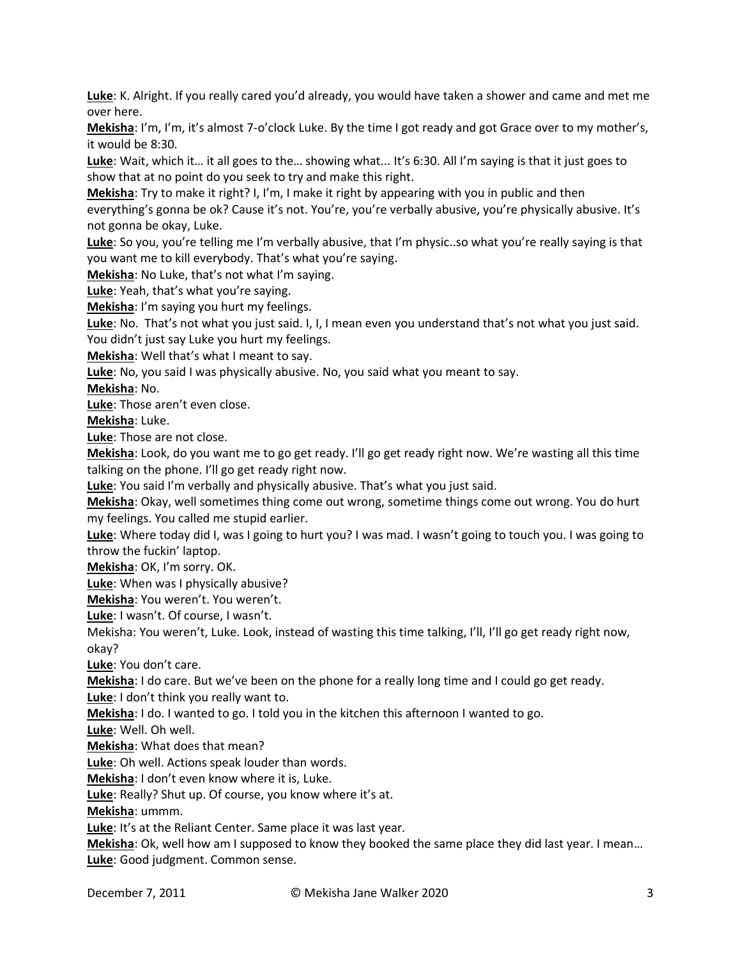**Luke**: K. Alright. If you really cared you'd already, you would have taken a shower and came and met me over here.

**Mekisha**: I'm, I'm, it's almost 7-o'clock Luke. By the time I got ready and got Grace over to my mother's, it would be 8:30.

**Luke**: Wait, which it… it all goes to the… showing what... It's 6:30. All I'm saying is that it just goes to show that at no point do you seek to try and make this right.

**Mekisha**: Try to make it right? I, I'm, I make it right by appearing with you in public and then everything's gonna be ok? Cause it's not. You're, you're verbally abusive, you're physically abusive. It's not gonna be okay, Luke.

**Luke**: So you, you're telling me I'm verbally abusive, that I'm physic..so what you're really saying is that you want me to kill everybody. That's what you're saying.

**Mekisha**: No Luke, that's not what I'm saying.

**Luke**: Yeah, that's what you're saying.

**Mekisha**: I'm saying you hurt my feelings.

**Luke**: No. That's not what you just said. I, I, I mean even you understand that's not what you just said. You didn't just say Luke you hurt my feelings.

**Mekisha**: Well that's what I meant to say.

**Luke**: No, you said I was physically abusive. No, you said what you meant to say.

**Mekisha**: No.

**Luke**: Those aren't even close.

**Mekisha**: Luke.

**Luke**: Those are not close.

**Mekisha**: Look, do you want me to go get ready. I'll go get ready right now. We're wasting all this time talking on the phone. I'll go get ready right now.

**Luke**: You said I'm verbally and physically abusive. That's what you just said.

**Mekisha**: Okay, well sometimes thing come out wrong, sometime things come out wrong. You do hurt my feelings. You called me stupid earlier.

**Luke**: Where today did I, was I going to hurt you? I was mad. I wasn't going to touch you. I was going to throw the fuckin' laptop.

**Mekisha**: OK, I'm sorry. OK.

**Luke**: When was I physically abusive?

**Mekisha**: You weren't. You weren't.

**Luke**: I wasn't. Of course, I wasn't.

Mekisha: You weren't, Luke. Look, instead of wasting this time talking, I'll, I'll go get ready right now, okay?

**Luke**: You don't care.

**Mekisha**: I do care. But we've been on the phone for a really long time and I could go get ready. **Luke**: I don't think you really want to.

**Mekisha**: I do. I wanted to go. I told you in the kitchen this afternoon I wanted to go.

**Luke**: Well. Oh well.

**Mekisha**: What does that mean?

**Luke**: Oh well. Actions speak louder than words.

**Mekisha**: I don't even know where it is, Luke.

**Luke**: Really? Shut up. Of course, you know where it's at.

**Mekisha**: ummm.

**Luke**: It's at the Reliant Center. Same place it was last year.

**Mekisha**: Ok, well how am I supposed to know they booked the same place they did last year. I mean… **Luke**: Good judgment. Common sense.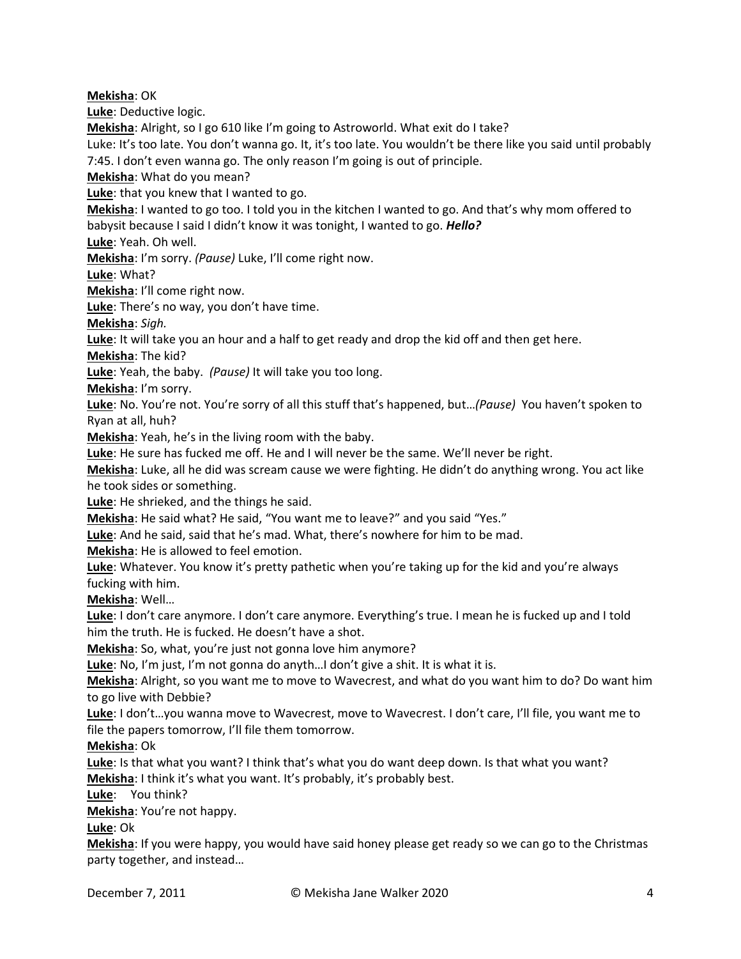**Mekisha**: OK

**Luke**: Deductive logic.

**Mekisha**: Alright, so I go 610 like I'm going to Astroworld. What exit do I take?

Luke: It's too late. You don't wanna go. It, it's too late. You wouldn't be there like you said until probably 7:45. I don't even wanna go. The only reason I'm going is out of principle.

**Mekisha**: What do you mean?

**Luke**: that you knew that I wanted to go.

**Mekisha**: I wanted to go too. I told you in the kitchen I wanted to go. And that's why mom offered to babysit because I said I didn't know it was tonight, I wanted to go. *Hello?*

**Luke**: Yeah. Oh well.

**Mekisha**: I'm sorry. *(Pause)* Luke, I'll come right now.

**Luke**: What?

**Mekisha**: I'll come right now.

**Luke**: There's no way, you don't have time.

**Mekisha**: *Sigh.*

**Luke**: It will take you an hour and a half to get ready and drop the kid off and then get here.

**Mekisha**: The kid?

**Luke**: Yeah, the baby. *(Pause)* It will take you too long.

**Mekisha**: I'm sorry.

**Luke**: No. You're not. You're sorry of all this stuff that's happened, but…*(Pause)* You haven't spoken to Ryan at all, huh?

**Mekisha**: Yeah, he's in the living room with the baby.

**Luke**: He sure has fucked me off. He and I will never be the same. We'll never be right.

**Mekisha**: Luke, all he did was scream cause we were fighting. He didn't do anything wrong. You act like he took sides or something.

**Luke**: He shrieked, and the things he said.

**Mekisha**: He said what? He said, "You want me to leave?" and you said "Yes."

**Luke**: And he said, said that he's mad. What, there's nowhere for him to be mad.

**Mekisha**: He is allowed to feel emotion.

**Luke**: Whatever. You know it's pretty pathetic when you're taking up for the kid and you're always fucking with him.

**Mekisha**: Well…

**Luke**: I don't care anymore. I don't care anymore. Everything's true. I mean he is fucked up and I told him the truth. He is fucked. He doesn't have a shot.

**Mekisha**: So, what, you're just not gonna love him anymore?

**Luke**: No, I'm just, I'm not gonna do anyth…I don't give a shit. It is what it is.

**Mekisha**: Alright, so you want me to move to Wavecrest, and what do you want him to do? Do want him to go live with Debbie?

**Luke**: I don't…you wanna move to Wavecrest, move to Wavecrest. I don't care, I'll file, you want me to file the papers tomorrow, I'll file them tomorrow.

**Mekisha**: Ok

**Luke**: Is that what you want? I think that's what you do want deep down. Is that what you want? **Mekisha**: I think it's what you want. It's probably, it's probably best.

**Luke**: You think?

**Mekisha**: You're not happy.

**Luke**: Ok

**Mekisha**: If you were happy, you would have said honey please get ready so we can go to the Christmas party together, and instead…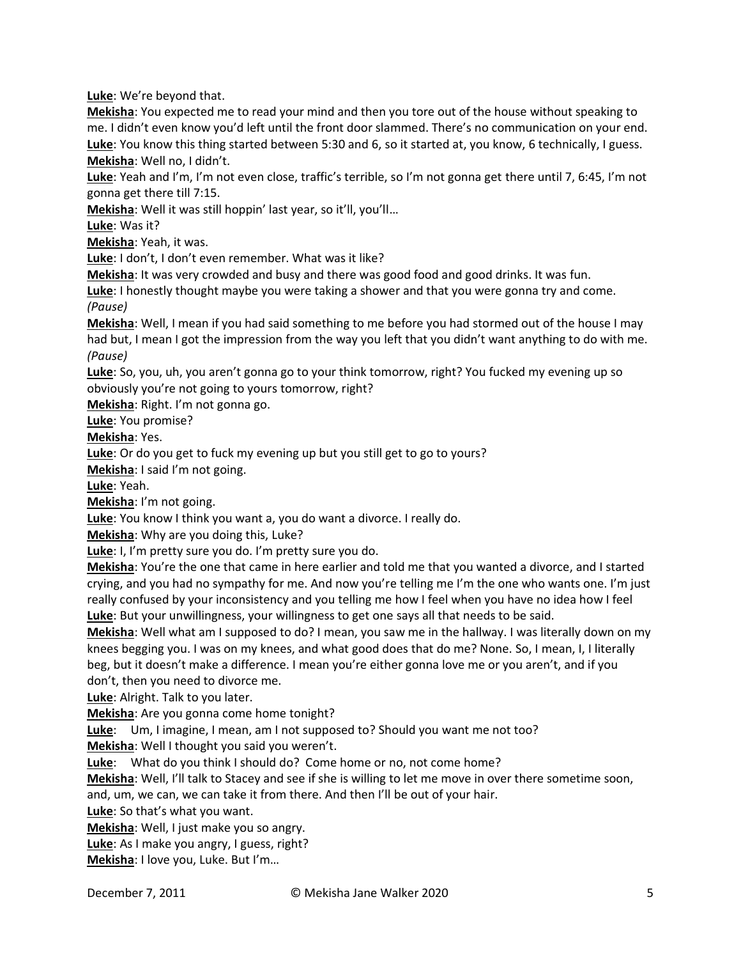**Luke**: We're beyond that.

**Mekisha**: You expected me to read your mind and then you tore out of the house without speaking to me. I didn't even know you'd left until the front door slammed. There's no communication on your end. **Luke**: You know this thing started between 5:30 and 6, so it started at, you know, 6 technically, I guess. **Mekisha**: Well no, I didn't.

**Luke**: Yeah and I'm, I'm not even close, traffic's terrible, so I'm not gonna get there until 7, 6:45, I'm not gonna get there till 7:15.

**Mekisha**: Well it was still hoppin' last year, so it'll, you'll…

**Luke**: Was it?

**Mekisha**: Yeah, it was.

**Luke**: I don't, I don't even remember. What was it like?

**Mekisha**: It was very crowded and busy and there was good food and good drinks. It was fun.

**Luke**: I honestly thought maybe you were taking a shower and that you were gonna try and come. *(Pause)*

**Mekisha**: Well, I mean if you had said something to me before you had stormed out of the house I may had but, I mean I got the impression from the way you left that you didn't want anything to do with me. *(Pause)*

**Luke**: So, you, uh, you aren't gonna go to your think tomorrow, right? You fucked my evening up so obviously you're not going to yours tomorrow, right?

**Mekisha**: Right. I'm not gonna go.

**Luke**: You promise?

**Mekisha**: Yes.

**Luke**: Or do you get to fuck my evening up but you still get to go to yours?

**Mekisha**: I said I'm not going.

**Luke**: Yeah.

**Mekisha**: I'm not going.

**Luke**: You know I think you want a, you do want a divorce. I really do.

**Mekisha**: Why are you doing this, Luke?

**Luke**: I, I'm pretty sure you do. I'm pretty sure you do.

**Mekisha**: You're the one that came in here earlier and told me that you wanted a divorce, and I started crying, and you had no sympathy for me. And now you're telling me I'm the one who wants one. I'm just really confused by your inconsistency and you telling me how I feel when you have no idea how I feel **Luke**: But your unwillingness, your willingness to get one says all that needs to be said.

**Mekisha**: Well what am I supposed to do? I mean, you saw me in the hallway. I was literally down on my knees begging you. I was on my knees, and what good does that do me? None. So, I mean, I, I literally beg, but it doesn't make a difference. I mean you're either gonna love me or you aren't, and if you don't, then you need to divorce me.

**Luke**: Alright. Talk to you later.

**Mekisha**: Are you gonna come home tonight?

**Luke**: Um, I imagine, I mean, am I not supposed to? Should you want me not too?

**Mekisha**: Well I thought you said you weren't.

**Luke**: What do you think I should do? Come home or no, not come home?

**Mekisha**: Well, I'll talk to Stacey and see if she is willing to let me move in over there sometime soon, and, um, we can, we can take it from there. And then I'll be out of your hair.

**Luke**: So that's what you want.

**Mekisha**: Well, I just make you so angry.

**Luke**: As I make you angry, I guess, right?

**Mekisha**: I love you, Luke. But I'm…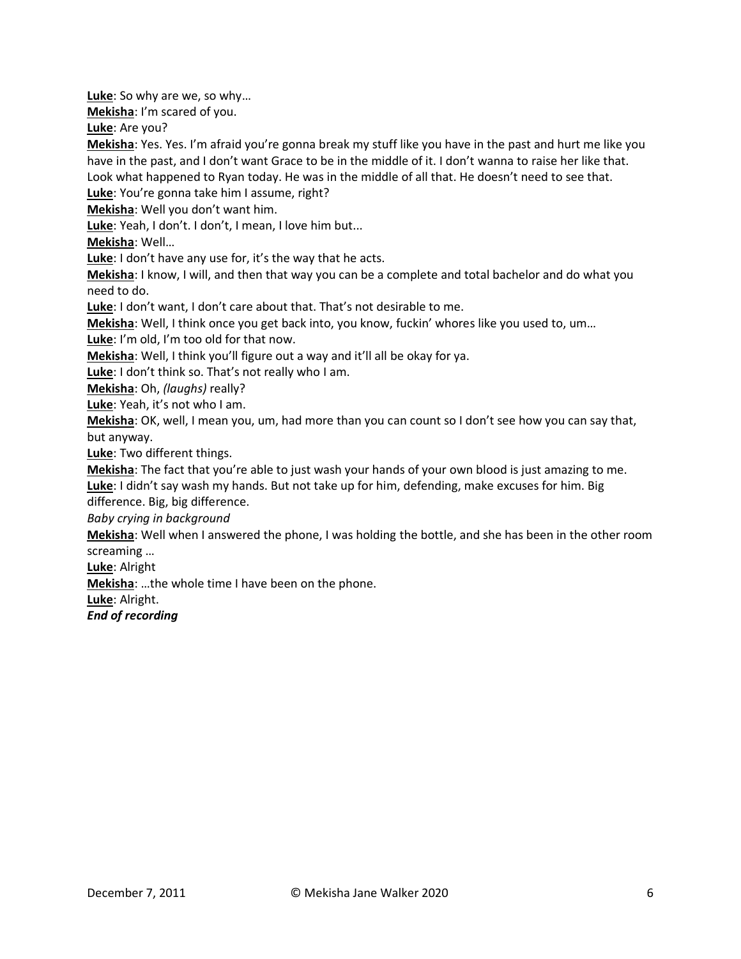**Luke**: So why are we, so why…

**Mekisha**: I'm scared of you.

**Luke**: Are you?

**Mekisha**: Yes. Yes. I'm afraid you're gonna break my stuff like you have in the past and hurt me like you have in the past, and I don't want Grace to be in the middle of it. I don't wanna to raise her like that. Look what happened to Ryan today. He was in the middle of all that. He doesn't need to see that.

**Luke**: You're gonna take him I assume, right?

**Mekisha**: Well you don't want him.

**Luke**: Yeah, I don't. I don't, I mean, I love him but...

**Mekisha**: Well…

**Luke**: I don't have any use for, it's the way that he acts.

**Mekisha**: I know, I will, and then that way you can be a complete and total bachelor and do what you need to do.

**Luke**: I don't want, I don't care about that. That's not desirable to me.

**Mekisha**: Well, I think once you get back into, you know, fuckin' whores like you used to, um… **Luke**: I'm old, I'm too old for that now.

**Mekisha**: Well, I think you'll figure out a way and it'll all be okay for ya.

**Luke**: I don't think so. That's not really who I am.

**Mekisha**: Oh, *(laughs)* really?

**Luke**: Yeah, it's not who I am.

**Mekisha**: OK, well, I mean you, um, had more than you can count so I don't see how you can say that, but anyway.

**Luke**: Two different things.

**Mekisha**: The fact that you're able to just wash your hands of your own blood is just amazing to me.

**Luke**: I didn't say wash my hands. But not take up for him, defending, make excuses for him. Big difference. Big, big difference.

*Baby crying in background*

**Mekisha**: Well when I answered the phone, I was holding the bottle, and she has been in the other room screaming …

**Luke**: Alright

**Mekisha**: …the whole time I have been on the phone.

**Luke**: Alright.

*End of recording*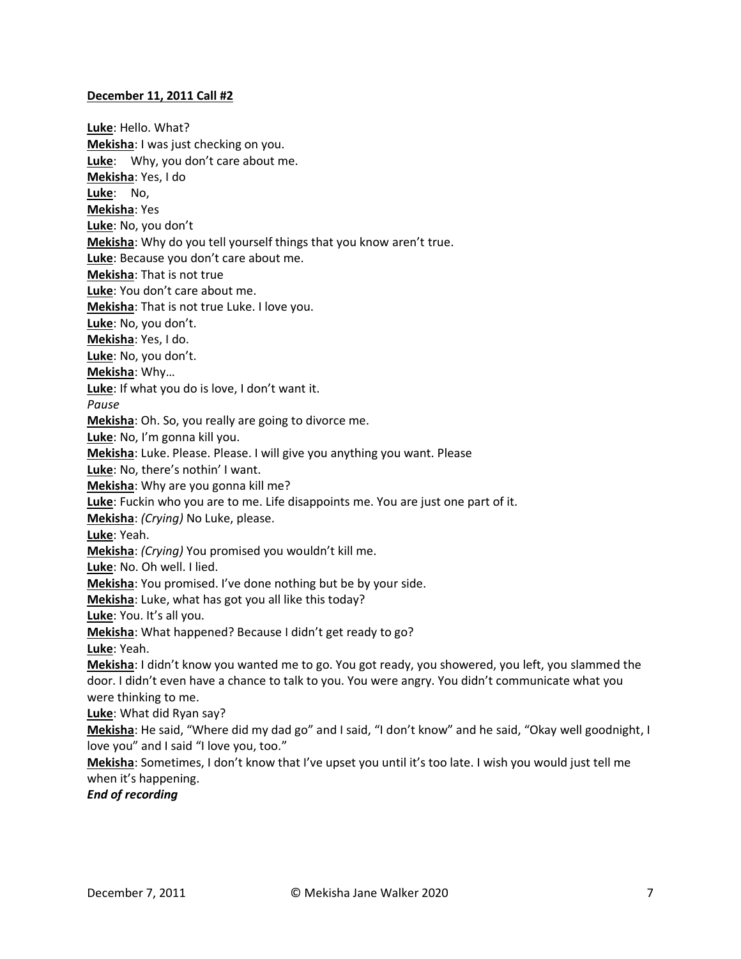## **December 11, 2011 Call #2**

**Luke**: Hello. What? **Mekisha**: I was just checking on you. **Luke**: Why, you don't care about me. **Mekisha**: Yes, I do **Luke**: No, **Mekisha**: Yes **Luke**: No, you don't **Mekisha**: Why do you tell yourself things that you know aren't true. **Luke**: Because you don't care about me. **Mekisha**: That is not true **Luke**: You don't care about me. **Mekisha**: That is not true Luke. I love you. **Luke**: No, you don't. **Mekisha**: Yes, I do. **Luke**: No, you don't. **Mekisha**: Why… **Luke**: If what you do is love, I don't want it. *Pause* **Mekisha**: Oh. So, you really are going to divorce me. **Luke**: No, I'm gonna kill you. **Mekisha**: Luke. Please. Please. I will give you anything you want. Please **Luke**: No, there's nothin' I want. **Mekisha**: Why are you gonna kill me? **Luke**: Fuckin who you are to me. Life disappoints me. You are just one part of it. **Mekisha**: *(Crying)* No Luke, please. **Luke**: Yeah. **Mekisha**: *(Crying)* You promised you wouldn't kill me. **Luke**: No. Oh well. I lied. **Mekisha**: You promised. I've done nothing but be by your side. **Mekisha**: Luke, what has got you all like this today? **Luke**: You. It's all you. **Mekisha**: What happened? Because I didn't get ready to go? **Luke**: Yeah. **Mekisha**: I didn't know you wanted me to go. You got ready, you showered, you left, you slammed the door. I didn't even have a chance to talk to you. You were angry. You didn't communicate what you were thinking to me. **Luke**: What did Ryan say? **Mekisha**: He said, "Where did my dad go" and I said, "I don't know" and he said, "Okay well goodnight, I love you" and I said "I love you, too." **Mekisha**: Sometimes, I don't know that I've upset you until it's too late. I wish you would just tell me when it's happening.

*End of recording*